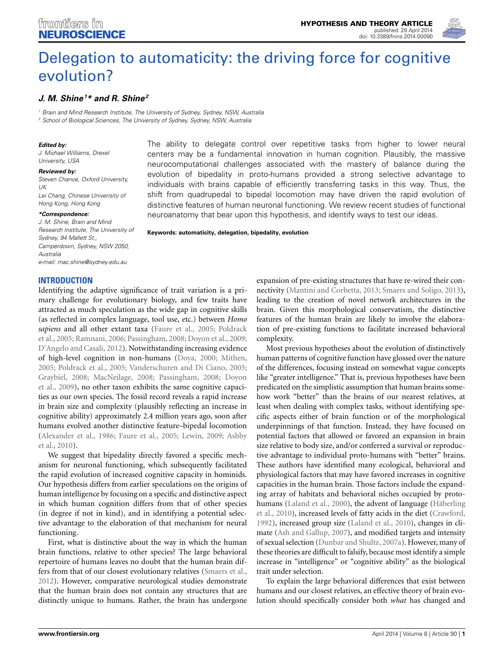

# [Delegation to automaticity: the driving force for cognitive](http://www.frontiersin.org/journal/10.3389/fnins.2014.00090/abstract) evolution?

## *[J. M. Shine](http://community.frontiersin.org/people/u/67761)1 \* and [R. Shine2](http://community.frontiersin.org/people/u/154629)*

*<sup>1</sup> Brain and Mind Research Institute, The University of Sydney, Sydney, NSW, Australia <sup>2</sup> School of Biological Sciences, The University of Sydney, Sydney, NSW, Australia*

#### *Edited by:*

*J. Michael Williams, Drexel University, USA*

#### *Reviewed by:*

*Steven Chance, Oxford University, UK Lei Chang, Chinese Univerisity of Hong Kong, Hong Kong*

#### *\*Correspondence:*

*J. M. Shine, Brain and Mind Research Institute, The University of Sydney, 94 Mallett St., Camperdown, Sydney, NSW 2050, Australia e-mail: [mac.shine@sydney.edu.au](mailto:mac.shine@sydney.edu.au)*

## **INTRODUCTION**

Identifying the adaptive significance of trait variation is a primary challenge for evolutionary biology, and few traits have attracted as much speculation as the wide gap in cognitive skills (as reflected in complex language, tool use, etc.) between *Homo sapiens* [and all other extant taxa](#page-7-0) [\(Faure et al.](#page-6-0)[,](#page-7-0) [2005](#page-6-0)[;](#page-7-0) Poldrack et al., [2005](#page-7-0); [Ramnani](#page-7-1), [2006](#page-7-1); [Passingham, 2008;](#page-7-2) [Doyon et al.](#page-6-1), [2009;](#page-6-1) [D'Angelo and Casali](#page-6-2), [2012](#page-6-2)). Notwithstanding increasing evidence of high-level cognition in non-humans [\(Doya, 2000;](#page-6-3) [Mithen,](#page-7-3) [2005](#page-7-3); [Poldrack et al.](#page-7-0), [2005;](#page-7-0) [Vanderschuren and Di Ciano](#page-7-4), [2005;](#page-7-4) [Graybiel](#page-6-4)[,](#page-6-1) [2008](#page-6-4)[;](#page-6-1) [MacNeilage](#page-7-5)[,](#page-6-1) [2008;](#page-7-5) [Passingham](#page-7-2)[,](#page-6-1) [2008;](#page-7-2) Doyon et al., [2009\)](#page-6-1), no other taxon exhibits the same cognitive capacities as our own species. The fossil record reveals a rapid increase in brain size and complexity (plausibly reflecting an increase in cognitive ability) approximately 2.4 million years ago, soon after humans evolved another distinctive feature–bipedal locomotion [\(Alexander et al.](#page-5-0)[,](#page-5-1) [1986;](#page-5-0) [Faure et al.](#page-6-0)[,](#page-5-1) [2005](#page-6-0)[;](#page-5-1) [Lewin](#page-7-6)[,](#page-5-1) [2009](#page-7-6)[;](#page-5-1) Ashby et al., [2010\)](#page-5-1).

We suggest that bipedality directly favored a specific mechanism for neuronal functioning, which subsequently facilitated the rapid evolution of increased cognitive capacity in hominids. Our hypothesis differs from earlier speculations on the origins of human intelligence by focusing on a specific and distinctive aspect in which human cognition differs from that of other species (in degree if not in kind), and in identifying a potential selective advantage to the elaboration of that mechanism for neural functioning.

First, what is distinctive about the way in which the human brain functions, relative to other species? The large behavioral repertoire of humans leaves no doubt that the human brain differs from that of our closest evolutionary relatives [\(Smaers et al.,](#page-7-7) [2012](#page-7-7)). However, comparative neurological studies demonstrate that the human brain does not contain any structures that are distinctly unique to humans. Rather, the brain has undergone

The ability to delegate control over repetitive tasks from higher to lower neural centers may be a fundamental innovation in human cognition. Plausibly, the massive neurocomputational challenges associated with the mastery of balance during the evolution of bipedality in proto-humans provided a strong selective advantage to individuals with brains capable of efficiently transferring tasks in this way. Thus, the shift from quadrupedal to bipedal locomotion may have driven the rapid evolution of distinctive features of human neuronal functioning. We review recent studies of functional neuroanatomy that bear upon this hypothesis, and identify ways to test our ideas.

**Keywords: automaticity, delegation, bipedality, evolution**

expansion of pre-existing structures that have re-wired their connectivity [\(Mantini and Corbetta, 2013;](#page-7-8) [Smaers and Soligo](#page-7-9), [2013](#page-7-9)), leading to the creation of novel network architectures in the brain. Given this morphological conservatism, the distinctive features of the human brain are likely to involve the elaboration of pre-existing functions to facilitate increased behavioral complexity.

Most previous hypotheses about the evolution of distinctively human patterns of cognitive function have glossed over the nature of the differences, focusing instead on somewhat vague concepts like "greater intelligence." That is, previous hypotheses have been predicated on the simplistic assumption that human brains somehow work "better" than the brains of our nearest relatives, at least when dealing with complex tasks, without identifying specific aspects either of brain function or of the morphological underpinnings of that function. Instead, they have focused on potential factors that allowed or favored an expansion in brain size relative to body size, and/or conferred a survival or reproductive advantage to individual proto-humans with "better" brains. These authors have identified many ecological, behavioral and physiological factors that may have favored increases in cognitive capacities in the human brain. Those factors include the expanding array of habitats and behavioral niches occupied by protohum[ans](#page-6-6) [\(Laland et al.](#page-6-5)[,](#page-6-6) [2000](#page-6-5)[\), the advent of language \(](#page-6-6)Häberling et al., [2010\)](#page-6-6), increased levels of fatty acids in the diet [\(Crawford,](#page-6-7) [1992](#page-6-7)), increased group size [\(Laland et al., 2010](#page-6-8)), changes in climate [\(Ash and Gallup](#page-5-2), [2007](#page-5-2)), and modified targets and intensity of sexual selection [\(Dunbar and Shultz, 2007a](#page-6-9)). However, many of these theories are difficult to falsify, because most identify a simple increase in "intelligence" or "cognitive ability" as the biological trait under selection.

To explain the large behavioral differences that exist between humans and our closest relatives, an effective theory of brain evolution should specifically consider both *what* has changed and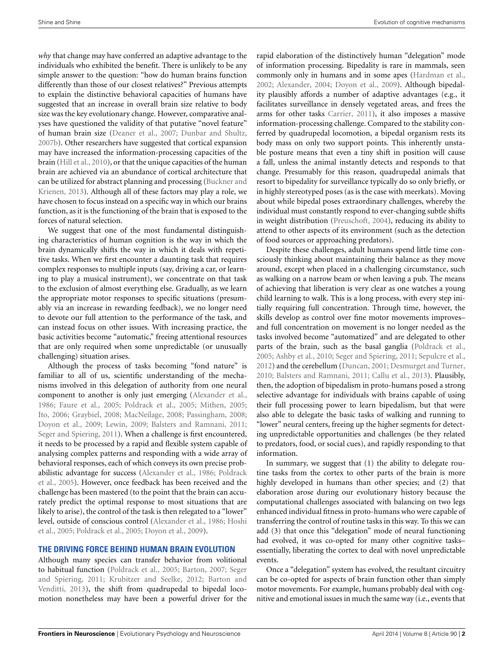*why* that change may have conferred an adaptive advantage to the individuals who exhibited the benefit. There is unlikely to be any simple answer to the question: "how do human brains function differently than those of our closest relatives?" Previous attempts to explain the distinctive behavioral capacities of humans have suggested that an increase in overall brain size relative to body size was the key evolutionary change. However, comparative analyses have questioned the validity of that putative "novel feature" of human brain size [\(Deaner et al., 2007;](#page-6-10) [Dunbar and Shultz,](#page-6-11) [2007b](#page-6-11)). Other researchers have suggested that cortical expansion may have increased the information-processing capacities of the brain [\(Hill et al.](#page-6-12), [2010\)](#page-6-12), or that the unique capacities of the human brain are achieved via an abundance of cortical architecture that can be [utilized for abstract planning and processing \(](#page-6-13)Buckner and Krienen, [2013\)](#page-6-13). Although all of these factors may play a role, we have chosen to focus instead on a specific way in which our brains function, as it is the functioning of the brain that is exposed to the forces of natural selection.

We suggest that one of the most fundamental distinguishing characteristics of human cognition is the way in which the brain dynamically shifts the way in which it deals with repetitive tasks. When we first encounter a daunting task that requires complex responses to multiple inputs (say, driving a car, or learning to play a musical instrument), we concentrate on that task to the exclusion of almost everything else. Gradually, as we learn the appropriate motor responses to specific situations (presumably via an increase in rewarding feedback), we no longer need to devote our full attention to the performance of the task, and can instead focus on other issues. With increasing practice, the basic activities become "automatic," freeing attentional resources that are only required when some unpredictable (or unusually challenging) situation arises.

Although the process of tasks becoming "fond nature" is familiar to all of us, scientific understanding of the mechanisms involved in this delegation of authority from one neural component to another is only just emerging [\(Alexander et al.](#page-5-0), [1986](#page-5-0); [Faure et al., 2005;](#page-6-0) [Poldrack et al.](#page-7-0), [2005;](#page-7-0) [Mithen, 2005;](#page-7-3) [Ito, 2006;](#page-6-14) [Graybiel](#page-6-4), [2008](#page-6-4); [MacNeilage](#page-7-5), [2008](#page-7-5); [Passingham, 2008;](#page-7-2) [Doyon et al., 2009;](#page-6-1) [Lewin](#page-7-6), [2009;](#page-7-6) [Balsters and Ramnani](#page-5-3), [2011;](#page-5-3) [Seger and Spiering](#page-7-10), [2011](#page-7-10)). When a challenge is first encountered, it needs to be processed by a rapid and flexible system capable of analysing complex patterns and responding with a wide array of behavioral responses, each of which conveys its own precise probabili[stic advantage for success](#page-7-0) [\(Alexander et al.](#page-5-0)[,](#page-7-0) [1986;](#page-5-0) Poldrack et al., [2005](#page-7-0)). However, once feedback has been received and the challenge has been mastered (to the point that the brain can accurately predict the optimal response to most situations that are likely to arise), the control of the task is then relegated to a "lower" level[, outside of conscious control](#page-6-15) [\(Alexander et al.](#page-5-0)[,](#page-6-15) [1986](#page-5-0)[;](#page-6-15) Hoshi et al., [2005;](#page-6-15) [Poldrack et al., 2005;](#page-7-0) [Doyon et al.](#page-6-1), [2009\)](#page-6-1).

#### **THE DRIVING FORCE BEHIND HUMAN BRAIN EVOLUTION**

Although many species can transfer behavior from volitional to habitual f[unction](#page-7-10) [\(Poldrack et al.](#page-7-0)[,](#page-7-10) [2005](#page-7-0)[;](#page-7-10) [Barton](#page-5-4)[,](#page-7-10) [2007](#page-5-4)[;](#page-7-10) Seger and Sp[iering,](#page-5-5) [2011](#page-7-10)[;](#page-5-5) [Krubitzer and Seelke](#page-6-16)[,](#page-5-5) [2012](#page-6-16)[;](#page-5-5) Barton and Venditti, [2013\)](#page-5-5), the shift from quadrupedal to bipedal locomotion nonetheless may have been a powerful driver for the

rapid elaboration of the distinctively human "delegation" mode of information processing. Bipedality is rare in mammals, seen commonly only in humans and in some apes [\(Hardman et al.](#page-6-17), [2002](#page-6-17); [Alexander, 2004](#page-5-6); [Doyon et al., 2009](#page-6-1)). Although bipedality plausibly affords a number of adaptive advantages (e.g., it facilitates surveillance in densely vegetated areas, and frees the arms for other tasks [Carrier](#page-6-18), [2011\)](#page-6-18), it also imposes a massive information-processing challenge. Compared to the stability conferred by quadrupedal locomotion, a bipedal organism rests its body mass on only two support points. This inherently unstable posture means that even a tiny shift in position will cause a fall, unless the animal instantly detects and responds to that change. Presumably for this reason, quadrupedal animals that resort to bipedality for surveillance typically do so only briefly, or in highly stereotyped poses (as is the case with meerkats). Moving about while bipedal poses extraordinary challenges, whereby the individual must constantly respond to ever-changing subtle shifts in weight distribution [\(Preuschoft, 2004](#page-7-11)), reducing its ability to attend to other aspects of its environment (such as the detection of food sources or approaching predators).

Despite these challenges, adult humans spend little time consciously thinking about maintaining their balance as they move around, except when placed in a challenging circumstance, such as walking on a narrow beam or when leaving a pub. The means of achieving that liberation is very clear as one watches a young child learning to walk. This is a long process, with every step initially requiring full concentration. Through time, however, the skills develop as control over fine motor movements improves– and full concentration on movement is no longer needed as the tasks involved become "automatized" and are delegated to other parts of the brain, such as the basal ganglia [\(Poldrack et al.](#page-7-0), [2005](#page-7-0); [Ashby et al., 2010](#page-5-1); [Seger and Spiering, 2011](#page-7-10); [Sepulcre et al.](#page-7-12), [2012](#page-7-12)) and the cerebellum [\(Duncan, 2001](#page-6-19); [Desmurget and Turner](#page-6-20), [2010](#page-6-20); [Balsters and Ramnani, 2011](#page-5-3); [Callu et al.](#page-6-21), [2013\)](#page-6-21). Plausibly, then, the adoption of bipedalism in proto-humans posed a strong selective advantage for individuals with brains capable of using their full processing power to learn bipedalism, but that were also able to delegate the basic tasks of walking and running to "lower" neural centers, freeing up the higher segments for detecting unpredictable opportunities and challenges (be they related to predators, food, or social cues), and rapidly responding to that information.

In summary, we suggest that (1) the ability to delegate routine tasks from the cortex to other parts of the brain is more highly developed in humans than other species; and (2) that elaboration arose during our evolutionary history because the computational challenges associated with balancing on two legs enhanced individual fitness in proto-humans who were capable of transferring the control of routine tasks in this way. To this we can add (3) that once this "delegation" mode of neural functioning had evolved, it was co-opted for many other cognitive tasks– essentially, liberating the cortex to deal with novel unpredictable events.

Once a "delegation" system has evolved, the resultant circuitry can be co-opted for aspects of brain function other than simply motor movements. For example, humans probably deal with cognitive and emotional issues in much the same way (i.e., events that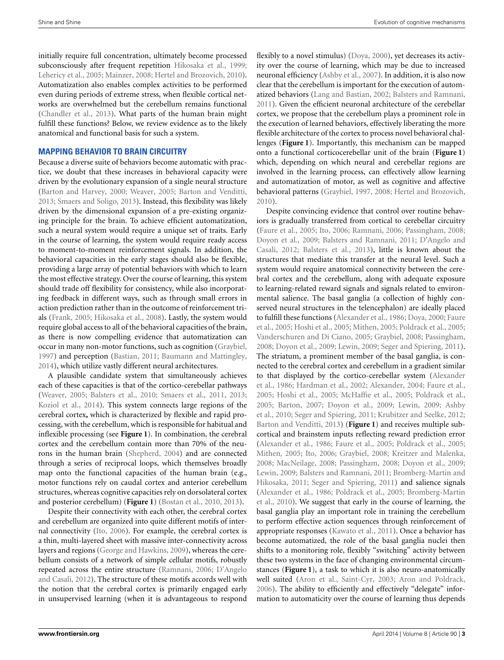initially require full concentration, ultimately become processed subconsciously after frequent repetition [Hikosaka et al., 1999;](#page-6-22) [Lehericy et al.](#page-7-13), [2005;](#page-7-13) [Mainzer, 2008](#page-7-14); [Hertel and Brozovich](#page-6-23), [2010](#page-6-23)). Automatization also enables complex activities to be performed even during periods of extreme stress, when flexible cortical networks are overwhelmed but the cerebellum remains functional [\(Chandler et al.](#page-6-24), [2013](#page-6-24)). What parts of the human brain might fulfill these functions? Below, we review evidence as to the likely anatomical and functional basis for such a system.

## **MAPPING BEHAVIOR TO BRAIN CIRCUITRY**

Because a diverse suite of behaviors become automatic with practice, we doubt that these increases in behavioral capacity were driven by the evolutionary expansion of a single neural structure [\(Barton and Harvey, 2000](#page-5-7); [Weaver](#page-7-15), [2005;](#page-7-15) [Barton and Venditti,](#page-5-5) [2013](#page-5-5); [Smaers and Soligo, 2013\)](#page-7-9). Instead, this flexibility was likely driven by the dimensional expansion of a pre-existing organizing principle for the brain. To achieve efficient automatization, such a neural system would require a unique set of traits. Early in the course of learning, the system would require ready access to moment-to-moment reinforcement signals. In addition, the behavioral capacities in the early stages should also be flexible, providing a large array of potential behaviors with which to learn the most effective strategy. Over the course of learning, this system should trade off flexibility for consistency, while also incorporating feedback in different ways, such as through small errors in action prediction rather than in the outcome of reinforcement trials [\(Frank](#page-6-25), [2005;](#page-6-25) [Hikosaka et al., 2008\)](#page-6-26). Lastly, the system would require global access to all of the behavioral capacities of the brain, as there is now compelling evidence that automatization can occur in many non-motor functions, such as cognition [\(Graybiel,](#page-6-27) [1997](#page-6-27)) and perception [\(Bastian](#page-5-8), [2011;](#page-5-8) [Baumann and Mattingley,](#page-5-9) [2014](#page-5-9)), which utilize vastly different neural architectures.

A plausible candidate system that simultaneously achieves each of these capacities is that of the cortico-cerebellar pathways [\(Weaver](#page-7-15), [2005;](#page-7-15) [Balsters et al., 2010;](#page-5-10) [Smaers et al., 2011](#page-7-16), [2013;](#page-7-17) [Koziol et al.](#page-6-28), [2014](#page-6-28)). This system connects large regions of the cerebral cortex**,** which is characterized by flexible and rapid processing, with the cerebellum, which is responsible for habitual and inflexible processing (see **[Figure 1](#page-3-0)**). In combination, the cerebral cortex and the cerebellum contain more than 70% of the neurons in the human brain [\(Shepherd, 2004](#page-7-18)) and are connected through a series of reciprocal loops, which themselves broadly map onto the functional capacities of the human brain (e.g., motor functions rely on caudal cortex and anterior cerebellum structures, whereas cognitive capacities rely on dorsolateral cortex and posterior cerebellum) (**[Figure 1](#page-3-0)**) [\(Bostan et al.](#page-5-11), [2010,](#page-5-11) [2013\)](#page-5-12).

Despite their connectivity with each other, the cerebral cortex and cerebellum are organized into quite different motifs of internal connectivity [\(Ito](#page-6-14), [2006](#page-6-14)). For example, the cerebral cortex is a thin, multi-layered sheet with massive inter-connectivity across layers and regions [\(George and Hawkins, 2009](#page-6-29)), whereas the cerebellum consists of a network of simple cellular motifs, robustly repeated [across the entire structure](#page-6-2) [\(Ramnani](#page-7-1)[,](#page-6-2) [2006](#page-7-1)[;](#page-6-2) D'Angelo and Casali, [2012](#page-6-2)). The structure of these motifs accords well with the notion that the cerebral cortex is primarily engaged early in unsupervised learning (when it is advantageous to respond

flexibly to a novel stimulus) [\(Doya, 2000\)](#page-6-3), yet decreases its activity over the course of learning, which may be due to increased neuronal efficiency [\(Ashby et al.](#page-5-13), [2007\)](#page-5-13). In addition, it is also now clear that the cerebellum is important for the execution of automatized behaviors [\(Lang and Bastian, 2002;](#page-6-30) [Balsters and Ramnani,](#page-5-3) [2011](#page-5-3)). Given the efficient neuronal architecture of the cerebellar cortex, we propose that the cerebellum plays a prominent role in the execution of learned behaviors, effectively liberating the more flexible architecture of the cortex to process novel behavioral challenges (**[Figure 1](#page-3-0)**). Importantly, this mechanism can be mapped onto a functional corticocerebellar unit of the brain (**[Figure 1](#page-3-0)**) which, depending on which neural and cerebellar regions are involved in the learning process, can effectively allow learning and automatization of motor, as well as cognitive and affective behavioral patterns [\(Graybiel, 1997,](#page-6-27) [2008;](#page-6-4) [Hertel and Brozovich,](#page-6-23) [2010](#page-6-23)).

Despite convincing evidence that control over routine behaviors is gradually transferred from cortical to cerebellar circuitry [\(Faure et al.](#page-6-0), [2005](#page-6-0); [Ito](#page-6-14), [2006](#page-6-14); [Ramnani](#page-7-1), [2006](#page-7-1); [Passingham](#page-7-2), [2008;](#page-7-2) [Doyon et al., 2009;](#page-6-1) [Balsters and Ramnani](#page-5-3)[,](#page-6-2) [2011](#page-5-3)[;](#page-6-2) D'Angelo and Casali, [2012](#page-6-2); [Balsters et al.](#page-5-14), [2013](#page-5-14)), little is known about the structures that mediate this transfer at the neural level. Such a system would require anatomical connectivity between the cerebral cortex and the cerebellum, along with adequate exposure to learning-related reward signals and signals related to environmental salience. The basal ganglia (a collection of highly conserved neural structures in the telencephalon) are ideally placed to fu[lfill](#page-6-0) [these](#page-6-0) [functions](#page-6-0) [\(Alexander et al.](#page-5-0)[,](#page-6-0) [1986](#page-5-0)[;](#page-6-0) [Doya](#page-6-3)[,](#page-6-0) [2000](#page-6-3)[;](#page-6-0) Faure et al., [2005](#page-6-0); [Hoshi et al.](#page-6-15), [2005;](#page-6-15) [Mithen](#page-7-3), [2005;](#page-7-3) [Poldrack et al.](#page-7-0), [2005;](#page-7-0) [Vanderschuren and Di Ciano, 2005;](#page-7-4) [Graybiel, 2008;](#page-6-4) [Passingham,](#page-7-2) [2008](#page-7-2); [Doyon et al.](#page-6-1), [2009;](#page-6-1) [Lewin, 2009;](#page-7-6) [Seger and Spiering](#page-7-10), [2011](#page-7-10)). The striatum, a prominent member of the basal ganglia, is connected to the cerebral cortex and cerebellum in a gradient similar to t[hat displayed by the cortico-cerebellar system \(](#page-5-0)Alexander et al., [1986](#page-5-0); [Hardman et al., 2002](#page-6-17); [Alexander](#page-5-6), [2004](#page-5-6); [Faure et al.,](#page-6-0) [2005](#page-6-0); [Hoshi et al.](#page-6-15), [2005](#page-6-15); [McHaffie et al.](#page-7-19), [2005](#page-7-19); [Poldrack et al.,](#page-7-0) [2005](#page-7-0)[;](#page-5-1) [Barton](#page-5-4)[,](#page-5-1) [2007](#page-5-4)[;](#page-5-1) [Doyon et al.](#page-6-1)[,](#page-5-1) [2009;](#page-6-1) [Lewin](#page-7-6)[,](#page-5-1) [2009](#page-7-6)[;](#page-5-1) Ashby et al., [2010;](#page-5-1) [Seger and Spiering](#page-7-10), [2011;](#page-7-10) [Krubitzer and Seelke, 2012;](#page-6-16) [Barton and Venditti](#page-5-5), [2013](#page-5-5)) (**[Figure 1](#page-3-0)**) and receives multiple subcortical and brainstem inputs reflecting reward prediction error [\(Alexander et al.](#page-5-0), [1986;](#page-5-0) [Faure et al., 2005](#page-6-0); [Poldrack et al., 2005;](#page-7-0) [Mithen](#page-7-3), [2005](#page-7-3); [Ito, 2006;](#page-6-14) [Graybiel, 2008;](#page-6-4) [Kreitzer and Malenka,](#page-6-31) [2008](#page-6-31); [MacNeilage, 2008](#page-7-5); [Passingham](#page-7-2), [2008;](#page-7-2) [Doyon et al., 2009;](#page-6-1) [Lewin](#page-7-6), [2009](#page-7-6)[;](#page-6-32) [Balsters and Ramnani](#page-5-3)[,](#page-6-32) [2011](#page-5-3)[;](#page-6-32) Bromberg-Martin and Hikosaka, [2011;](#page-6-32) [Seger and Spiering](#page-7-10), [2011](#page-7-10)) and salience signals [\(Alexander et al.](#page-5-0)[,](#page-6-33) [1986](#page-5-0)[;](#page-6-33) [Poldrack et al.](#page-7-0)[,](#page-6-33) [2005](#page-7-0)[;](#page-6-33) Bromberg-Martin et al., [2010](#page-6-33)). We suggest that early in the course of learning, the basal ganglia play an important role in training the cerebellum to perform effective action sequences through reinforcement of appropriate responses [\(Kawato et al.](#page-6-34), [2011](#page-6-34)). Once a behavior has become automatized, the role of the basal ganglia nuclei then shifts to a monitoring role, flexibly "switching" activity between these two systems in the face of changing environmental circumstances (**[Figure 1](#page-3-0)**), a task to which it is also neuro-anatomically well suited [\(Aron et al.](#page-5-15), [Saint-Cyr](#page-7-20), [2003](#page-7-20); [Aron and Poldrack,](#page-5-16) [2006](#page-5-16)). The ability to efficiently and effectively "delegate" information to automaticity over the course of learning thus depends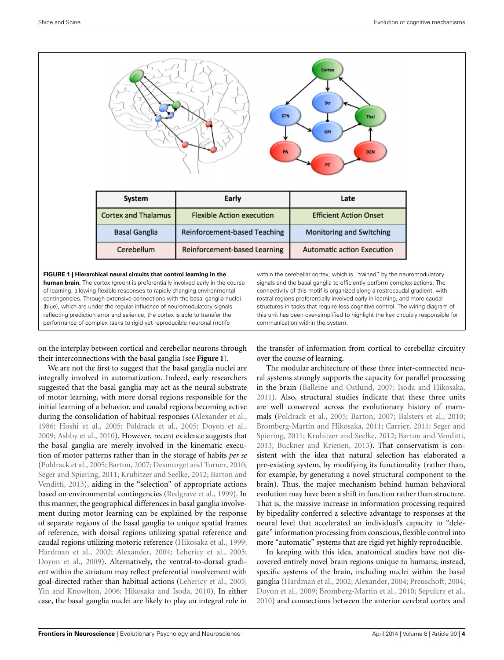

<span id="page-3-0"></span>**FIGURE 1 | Hierarchical neural circuits that control learning in the human brain.** The cortex (green) is preferentially involved early in the course of learning, allowing flexible responses to rapidly changing environmental contingencies. Through extensive connections with the basal ganglia nuclei (blue), which are under the regular influence of neuromodulatory signals reflecting prediction error and salience, the cortex is able to transfer the performance of complex tasks to rigid yet reproducible neuronal motifs

on the interplay between cortical and cerebellar neurons through their interconnections with the basal ganglia (see **[Figure 1](#page-3-0)**).

We are not the first to suggest that the basal ganglia nuclei are integrally involved in automatization. Indeed, early researchers suggested that the basal ganglia may act as the neural substrate of motor learning, with more dorsal regions responsible for the initial learning of a behavior, and caudal regions becoming active during the consolidation of habitual responses [\(Alexander et al.](#page-5-0), [1986](#page-5-0); [Hoshi et al., 2005;](#page-6-15) [Poldrack et al.](#page-7-0), [2005](#page-7-0); [Doyon et al.](#page-6-1), [2009](#page-6-1); [Ashby et al.](#page-5-1), [2010\)](#page-5-1). However, recent evidence suggests that the basal ganglia are merely involved in the kinematic execution of motor patterns rather than in the storage of habits *per se* [\(Poldrack et al., 2005](#page-7-0); [Barton](#page-5-4), [2007;](#page-5-4) [Desmurget and Turner](#page-6-20), [2010;](#page-6-20) [Seger and Spiering](#page-7-10)[,](#page-5-5) [2011;](#page-7-10) [Krubitzer and Seelke, 2012](#page-6-16)[;](#page-5-5) Barton and Venditti, [2013](#page-5-5)), aiding in the "selection" of appropriate actions based on environmental contingencies [\(Redgrave et al., 1999](#page-7-21)). In this manner, the geographical differences in basal ganglia involvement during motor learning can be explained by the response of separate regions of the basal ganglia to unique spatial frames of reference, with dorsal regions utilizing spatial reference and caudal regions utilizing motoric reference [\(Hikosaka et al.](#page-6-22), [1999;](#page-6-22) [Hardman et al.](#page-6-17), [2002](#page-6-17); [Alexander](#page-5-6), [2004](#page-5-6); [Lehericy et al., 2005;](#page-7-13) [Doyon et al.](#page-6-1), [2009\)](#page-6-1). Alternatively, the ventral-to-dorsal gradient within the striatum may reflect preferential involvement with goal-directed rather than habitual actions [\(Lehericy et al.](#page-7-13), [2005;](#page-7-13) [Yin and Knowlton](#page-7-22), [2006;](#page-7-22) [Hikosaka and Isoda, 2010\)](#page-6-35). In either case, the basal ganglia nuclei are likely to play an integral role in

within the cerebellar cortex, which is "trained" by the neuromodulatory signals and the basal ganglia to efficiently perform complex actions. The connectivity of this motif is organized along a rostrocaudal gradient, with rostral regions preferentially involved early in learning, and more caudal structures in tasks that require less cognitive control. The wiring diagram of this unit has been over-simplified to highlight the key circuitry responsible for communication within the system.

the transfer of information from cortical to cerebellar circuitry over the course of learning.

The modular architecture of these three inter-connected neural systems strongly supports the capacity for parallel processing in the brain [\(Balleine and Ostlund](#page-5-17), [2007](#page-5-17); [Isoda and Hikosaka](#page-6-36), [2011](#page-6-36)). Also, structural studies indicate that these three units are well conserved across the evolutionary history of mammals [\(Poldrack et al., 2005;](#page-7-0) [Barton, 2007](#page-5-4); [Balsters et al.](#page-5-10), [2010](#page-5-10); [Bromberg-Martin and Hikosaka](#page-6-32)[,](#page-7-10) [2011;](#page-6-32) [Carrier](#page-6-18)[,](#page-7-10) [2011](#page-6-18)[;](#page-7-10) Seger and Spiering, [2011](#page-7-10); [Krubitzer and Seelke, 2012;](#page-6-16) [Barton and Venditti](#page-5-5), [2013](#page-5-5); [Buckner and Krienen](#page-6-13), [2013\)](#page-6-13). That conservatism is consistent with the idea that natural selection has elaborated a pre-existing system, by modifying its functionality (rather than, for example, by generating a novel structural component to the brain). Thus, the major mechanism behind human behavioral evolution may have been a shift in function rather than structure. That is, the massive increase in information processing required by bipedality conferred a selective advantage to responses at the neural level that accelerated an individual's capacity to "delegate" information processing from conscious, flexible control into more "automatic" systems that are rigid yet highly reproducible.

In keeping with this idea, anatomical studies have not discovered entirely novel brain regions unique to humans; instead, specific systems of the brain, including nuclei within the basal ganglia [\(Hardman et al.](#page-6-17), [2002;](#page-6-17) [Alexander, 2004](#page-5-6); [Preuschoft, 2004](#page-7-11); [Doyon et al., 2009;](#page-6-1) [Bromberg-Martin et al., 2010;](#page-6-33) [Sepulcre et al.](#page-7-23), [2010](#page-7-23)) and connections between the anterior cerebral cortex and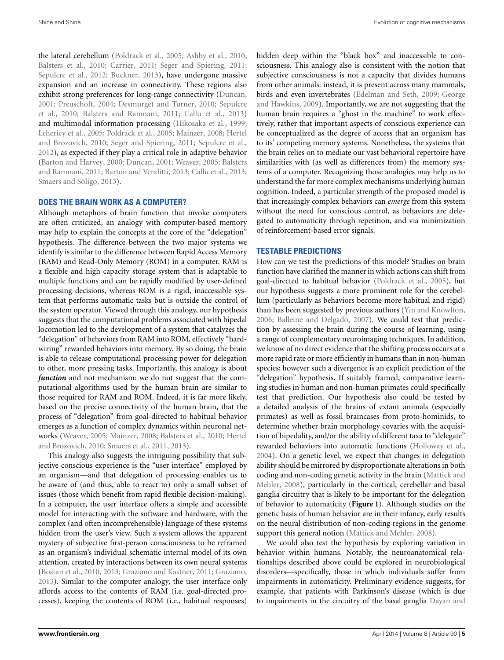the lateral cerebellum [\(Poldrack et al.](#page-7-0), [2005;](#page-7-0) [Ashby et al., 2010;](#page-5-1) [Balsters et al., 2010;](#page-5-10) [Carrier, 2011;](#page-6-18) [Seger and Spiering, 2011;](#page-7-10) [Sepulcre et al., 2012](#page-7-12); [Buckner, 2013](#page-6-37)), have undergone massive expansion and an increase in connectivity. These regions also exhibit strong preferences for long-range connectivity [\(Duncan,](#page-6-19) [2001](#page-6-19); [Preuschoft](#page-7-11)[,](#page-7-23) [2004](#page-7-11)[;](#page-7-23) [Desmurget and Turner](#page-6-20)[,](#page-7-23) [2010;](#page-6-20) Sepulcre et al., [2010;](#page-7-23) [Balsters and Ramnani, 2011;](#page-5-3) [Callu et al.](#page-6-21), [2013](#page-6-21)) and multimodal information processing [\(Hikosaka et al., 1999;](#page-6-22) [Lehericy et al.](#page-7-13), [2005](#page-7-13)[;](#page-6-23) [Poldrack et al., 2005;](#page-7-0) [Mainzer](#page-7-14)[,](#page-6-23) [2008](#page-7-14)[;](#page-6-23) Hertel and Brozovich, [2010](#page-6-23); [Seger and Spiering, 2011;](#page-7-10) [Sepulcre et al.,](#page-7-12) [2012](#page-7-12)), as expected if they play a critical role in adaptive behavior [\(Barton and Harvey, 2000;](#page-5-7) [Duncan](#page-6-19)[,](#page-5-3) [2001](#page-6-19)[;](#page-5-3) [Weaver](#page-7-15)[,](#page-5-3) [2005](#page-7-15)[;](#page-5-3) Balsters and Ramnani, [2011](#page-5-3); [Barton and Venditti](#page-5-5), [2013;](#page-5-5) [Callu et al., 2013;](#page-6-21) [Smaers and Soligo, 2013](#page-7-9)).

## **DOES THE BRAIN WORK AS A COMPUTER?**

Although metaphors of brain function that invoke computers are often criticized, an analogy with computer-based memory may help to explain the concepts at the core of the "delegation" hypothesis. The difference between the two major systems we identify is similar to the difference between Rapid Access Memory (RAM) and Read-Only Memory (ROM) in a computer. RAM is a flexible and high capacity storage system that is adaptable to multiple functions and can be rapidly modified by user-defined processing decisions, whereas ROM is a rigid, inaccessible system that performs automatic tasks but is outside the control of the system operator. Viewed through this analogy, our hypothesis suggests that the computational problems associated with bipedal locomotion led to the development of a system that catalyzes the "delegation" of behaviors from RAM into ROM, effectively "hardwiring" rewarded behaviors into memory. By so doing, the brain is able to release computational processing power for delegation to other, more pressing tasks. Importantly, this analogy is about *function* and not mechanism: we do not suggest that the computational algorithms used by the human brain are similar to those required for RAM and ROM. Indeed, it is far more likely, based on the precise connectivity of the human brain, that the process of "delegation" from goal-directed to habitual behavior emerges as a function of complex dynamics within neuronal networks [\(Weaver](#page-7-15)[,](#page-6-23) [2005](#page-7-15)[;](#page-6-23) [Mainzer](#page-7-14)[,](#page-6-23) [2008;](#page-7-14) [Balsters et al.](#page-5-10)[,](#page-6-23) [2010](#page-5-10)[;](#page-6-23) Hertel and Brozovich, [2010;](#page-6-23) [Smaers et al., 2011](#page-7-16), [2013](#page-7-17)).

This analogy also suggests the intriguing possibility that subjective conscious experience is the "user interface" employed by an organism—and that delegation of processing enables us to be aware of (and thus, able to react to) only a small subset of issues (those which benefit from rapid flexible decision-making). In a computer, the user interface offers a simple and accessible model for interacting with the software and hardware, with the complex (and often incomprehensible) language of these systems hidden from the user's view. Such a system allows the apparent mystery of subjective first-person consciousness to be reframed as an organism's individual schematic internal model of its own attention, created by interactions between its own neural systems [\(Bostan et al., 2010,](#page-5-11) [2013](#page-5-12); [Graziano and Kastner](#page-6-38), [2011](#page-6-38); [Graziano,](#page-6-39) [2013](#page-6-39)). Similar to the computer analogy, the user interface only affords access to the contents of RAM (i.e. goal-directed processes), keeping the contents of ROM (i.e., habitual responses)

hidden deep within the "black box" and inaccessible to consciousness. This analogy also is consistent with the notion that subjective consciousness is not a capacity that divides humans from other animals: instead, it is present across many mammals, birds and ev[en invertebrates](#page-6-29) [\(Edelman and Seth, 2009;](#page-6-40) George and Hawkins, [2009\)](#page-6-29). Importantly, we are not suggesting that the human brain requires a "ghost in the machine" to work effectively, rather that important aspects of conscious experience can be conceptualized as the degree of access that an organism has to its' competing memory systems. Nonetheless, the systems that the brain relies on to mediate our vast behavioral repertoire have similarities with (as well as differences from) the memory systems of a computer. Recognizing those analogies may help us to understand the far more complex mechanisms underlying human cognition. Indeed, a particular strength of the proposed model is that increasingly complex behaviors can *emerge* from this system without the need for conscious control, as behaviors are delegated to automaticity through repetition, and via minimization of reinforcement-based error signals.

### **TESTABLE PREDICTIONS**

How can we test the predictions of this model? Studies on brain function have clarified the manner in which actions can shift from goal-directed to habitual behavior [\(Poldrack et al., 2005](#page-7-0)), but our hypothesis suggests a more prominent role for the cerebellum (particularly as behaviors become more habitual and rigid) than has been suggested by previous authors [\(Yin and Knowlton,](#page-7-22) [2006](#page-7-22); [Balleine and Delgado, 2007\)](#page-5-18). We could test that prediction by assessing the brain during the course of learning, using a range of complementary neuroimaging techniques. In addition, we know of no direct evidence that the shifting process occurs at a more rapid rate or more efficiently in humans than in non-human species; however such a divergence is an explicit prediction of the "delegation" hypothesis. If suitably framed, comparative learning studies in human and non-human primates could specifically test that prediction. Our hypothesis also could be tested by a detailed analysis of the brains of extant animals (especially primates) as well as fossil braincases from proto-hominids, to determine whether brain morphology covaries with the acquisition of bipedality, and/or the ability of different taxa to "delegate" rewarded behaviors into automatic functions [\(Holloway et al.,](#page-6-41) [2004](#page-6-41)). On a genetic level, we expect that changes in delegation ability should be mirrored by disproportionate alterations in both coding [and non-coding genetic activity in the brain \(](#page-7-24)Mattick and Mehler, [2008](#page-7-24)), particularly in the cortical, cerebellar and basal ganglia circuitry that is likely to be important for the delegation of behavior to automaticity (**[Figure 1](#page-3-0)**). Although studies on the genetic basis of human behavior are in their infancy, early results on the neural distribution of non-coding regions in the genome support this general notion [\(Mattick and Mehler, 2008](#page-7-24)).

We could also test the hypothesis by exploring variation in behavior within humans. Notably, the neuroanatomical relationships described above could be explored in neurobiological disorders—specifically, those in which individuals suffer from impairments in automaticity. Preliminary evidence suggests, for example, that patients with Parkinson's disease (which is due to impairments in the circuitry of the basal ganglia Dayan and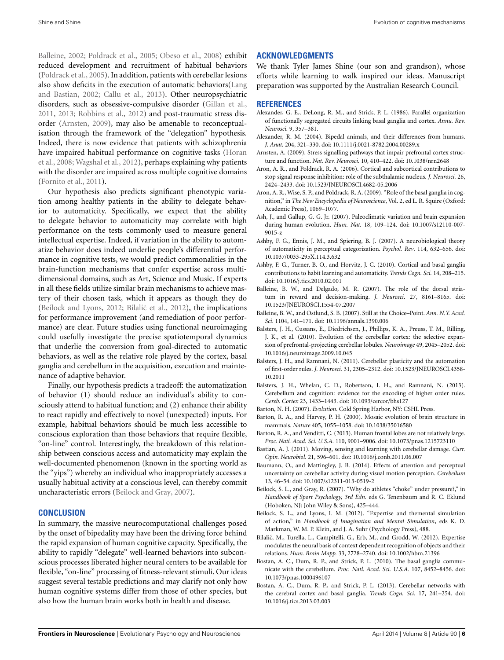Balleine, [2002](#page-6-42); [Poldrack et al., 2005;](#page-7-0) [Obeso et al.](#page-7-25), [2008\)](#page-7-25) exhibit reduced development and recruitment of habitual behaviors [\(Poldrack et al.](#page-7-0), [2005\)](#page-7-0). In addition, patients with cerebellar lesions also show d[eficits](#page-6-30) [in](#page-6-30) [the](#page-6-30) [execution](#page-6-30) [of](#page-6-30) [automatic](#page-6-30) [behaviors\(](#page-6-30)Lang and Bastian, [2002](#page-6-30); [Callu et al., 2013\)](#page-6-21). Other neuropsychiatric disorders, such as obsessive-compulsive disorder [\(Gillan et al.](#page-6-43), [2011](#page-6-43), [2013](#page-6-44); [Robbins et al., 2012\)](#page-7-26) and post-traumatic stress disorder [\(Arnsten](#page-5-19), [2009](#page-5-19)), may also be amenable to reconceptualisation through the framework of the "delegation" hypothesis. Indeed, there is now evidence that patients with schizophrenia have [impaired habitual performance on cognitive tasks \(](#page-6-45)Horan et al., [2008](#page-6-45); [Wagshal et al., 2012\)](#page-7-27), perhaps explaining why patients with the disorder are impaired across multiple cognitive domains [\(Fornito et al.](#page-6-46), [2011](#page-6-46)).

Our hypothesis also predicts significant phenotypic variation among healthy patients in the ability to delegate behavior to automaticity. Specifically, we expect that the ability to delegate behavior to automaticity may correlate with high performance on the tests commonly used to measure general intellectual expertise. Indeed, if variation in the ability to automatize behavior does indeed underlie people's differential performance in cognitive tests, we would predict commonalities in the brain-function mechanisms that confer expertise across multidimensional domains, such as Art, Science and Music. If experts in all these fields utilize similar brain mechanisms to achieve mastery of their chosen task, which it appears as though they do [\(Beilock and Lyons](#page-5-20), [2012](#page-5-20); Bilalić et al., 2012), the implications for performance improvement (and remediation of poor performance) are clear. Future studies using functional neuroimaging could usefully investigate the precise spatiotemporal dynamics that underlie the conversion from goal-directed to automatic behaviors, as well as the relative role played by the cortex, basal ganglia and cerebellum in the acquisition, execution and maintenance of adaptive behavior.

Finally, our hypothesis predicts a tradeoff: the automatization of behavior (1) should reduce an individual's ability to consciously attend to habitual function; and (2) enhance their ability to react rapidly and effectively to novel (unexpected) inputs. For example, habitual behaviors should be much less accessible to conscious exploration than those behaviors that require flexible, "on-line" control. Interestingly, the breakdown of this relationship between conscious access and automaticity may explain the well-documented phenomenon (known in the sporting world as the "yips") whereby an individual who inappropriately accesses a usually habitual activity at a conscious level, can thereby commit uncharacteristic errors [\(Beilock and Gray, 2007](#page-5-22)).

## **CONCLUSION**

In summary, the massive neurocomputational challenges posed by the onset of bipedality may have been the driving force behind the rapid expansion of human cognitive capacity. Specifically, the ability to rapidly "delegate" well-learned behaviors into subconscious processes liberated higher neural centers to be available for flexible, "on-line" processing of fitness-relevant stimuli. Our ideas suggest several testable predictions and may clarify not only how human cognitive systems differ from those of other species, but also how the human brain works both in health and disease.

## **ACKNOWLEDGMENTS**

We thank Tyler James Shine (our son and grandson), whose efforts while learning to walk inspired our ideas. Manuscript preparation was supported by the Australian Research Council.

#### **REFERENCES**

- <span id="page-5-0"></span>Alexander, G. E., DeLong, R. M., and Strick, P. L. (1986). Parallel organization of functionally segregated circuits linking basal ganglia and cortex. *Annu. Rev. Neurosci.* 9, 357–381.
- <span id="page-5-6"></span>Alexander, R. M. (2004). Bipedal animals, and their differences from humans. *J. Anat.* 204, 321–330. doi: 10.1111/j.0021-8782.2004.00289.x
- <span id="page-5-19"></span>Arnsten, A. (2009). Stress signalling pathways that impair prefrontal cortex structure and function. *Nat. Rev. Neurosci.* 10, 410–422. doi: 10.1038/nrn2648
- <span id="page-5-16"></span>Aron, A. R., and Poldrack, R. A. (2006). Cortical and subcortical contributions to stop signal response inhibition: role of the subthalamic nucleus. *J. Neurosci.* 26, 2424–2433. doi: 10.1523/JNEUROSCI.4682-05.2006
- <span id="page-5-15"></span>Aron, A. R., Wise, S. P., and Poldrack, R. A. (2009). "Role of the basal ganglia in cognition," in *The New Encyclopedia of Neuroscience*, Vol. 2, ed L. R. Squire (Oxford: Academic Press), 1069–1077.
- <span id="page-5-2"></span>Ash, J., and Gallup, G. G. Jr. (2007). Paleoclimatic variation and brain expansion during human evolution. *Hum. Nat.* 18, 109–124. doi: 10.1007/s12110-007- 9015-z
- <span id="page-5-13"></span>Ashby, F. G., Ennis, J. M., and Spiering, B. J. (2007). A neurobiological theory of automaticity in perceptual categorization. *Psychol. Rev*. 114, 632–656. doi: 10.1037/0033-295X.114.3.632
- <span id="page-5-1"></span>Ashby, F. G., Turner, B. O., and Horvitz, J. C. (2010). Cortical and basal ganglia contributions to habit learning and automaticity. *Trends Cogn. Sci.* 14, 208–215. doi: 10.1016/j.tics.2010.02.001
- <span id="page-5-18"></span>Balleine, B. W., and Delgado, M. R. (2007). The role of the dorsal striatum in reward and decision-making. *J. Neurosci*. 27, 8161–8165. doi: 10.1523/JNEUROSCI.1554-07.2007
- <span id="page-5-17"></span>Balleine, B. W., and Ostlund, S. B. (2007). Still at the Choice–Point. *Ann. N.Y. Acad. Sci*. 1104, 141–171. doi: 10.1196/annals.1390.006
- <span id="page-5-10"></span>Balsters, J. H., Cussans, E., Diedrichsen, J., Phillips, K. A., Preuss, T. M., Rilling, J. K., et al. (2010). Evolution of the cerebellar cortex: the selective expansion of prefrontal-projecting cerebellar lobules. *Neuroimage* 49, 2045–2052. doi: 10.1016/j.neuroimage.2009.10.045
- <span id="page-5-3"></span>Balsters, J. H., and Ramnani, N. (2011). Cerebellar plasticity and the automation of first-order rules. *J. Neurosci.* 31, 2305–2312. doi: 10.1523/JNEUROSCI.4358- 10.2011
- <span id="page-5-14"></span>Balsters, J. H., Whelan, C. D., Robertson, I. H., and Ramnani, N. (2013). Cerebellum and cognition: evidence for the encoding of higher order rules. *Cereb. Cortex* 23, 1433–1443. doi: 10.1093/cercor/bhs127
- <span id="page-5-4"></span>Barton, N. H. (2007). *Evolution*. Cold Spring Harbor, NY: CSHL Press.
- <span id="page-5-7"></span>Barton, R. A., and Harvey, P. H. (2000). Mosaic evolution of brain structure in mammals. *Nature* 405, 1055–1058. doi: 10.1038/35016580
- <span id="page-5-5"></span>Barton, R. A., and Venditti, C. (2013). Human frontal lobes are not relatively large. *Proc. Natl. Acad. Sci. U.S.A.* 110, 9001–9006. doi: 10.1073/pnas.1215723110
- <span id="page-5-8"></span>Bastian, A. J. (2011). Moving, sensing and learning with cerebellar damage. *Curr. Opin. Neurobiol.* 21, 596–601. doi: 10.1016/j.conb.2011.06.007
- <span id="page-5-9"></span>Baumann, O., and Mattingley, J. B. (2014). Effects of attention and perceptual uncertainty on cerebellar activity during visual motion perception. *Cerebellum* 13, 46–54. doi: 10.1007/s12311-013-0519-2
- <span id="page-5-22"></span>Beilock, S. L., and Gray, R. (2007). "Why do athletes "choke" under pressure?," in *Handbook of Sport Psychology, 3rd Edn.* eds G. Tenenbaum and R. C. Eklund (Hoboken, NJ: John Wiley & Sons), 425–444.
- <span id="page-5-20"></span>Beilock, S. L., and Lyons, I. M. (2012). "Expertise and themental simulation of action," in *Handbook of Imagination and Mental Simulation*, eds K. D. Markman, W. M. P. Klein, and J. A. Suhr (Psychology Press), 488.
- <span id="page-5-21"></span>Bilalic, M., Turella, L., Campitelli, G., Erb, M., and Grodd, W. (2012). Expertise ´ modulates the neural basis of context dependent recognition of objects and their relations. *Hum. Brain Mapp.* 33, 2728–2740. doi: 10.1002/hbm.21396
- <span id="page-5-11"></span>Bostan, A. C., Dum, R. P., and Strick, P. L. (2010). The basal ganglia communicate with the cerebellum. *Proc. Natl. Acad. Sci. U.S.A.* 107, 8452–8456. doi: 10.1073/pnas.1000496107
- <span id="page-5-12"></span>Bostan, A. C., Dum, R. P., and Strick, P. L. (2013). Cerebellar networks with the cerebral cortex and basal ganglia. *Trends Cogn. Sci.* 17, 241–254. doi: 10.1016/j.tics.2013.03.003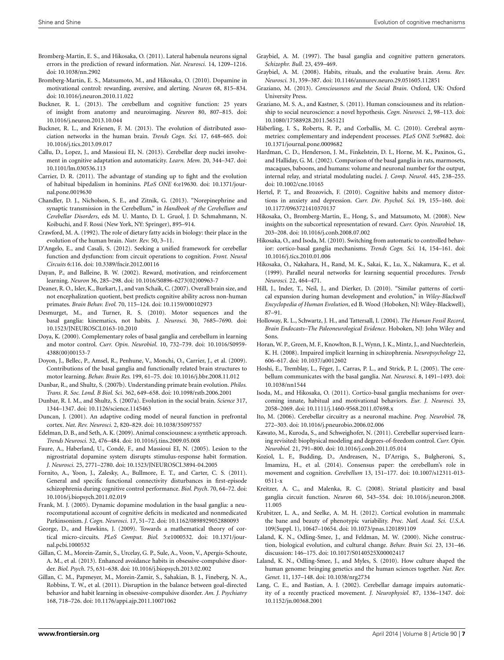- <span id="page-6-32"></span>Bromberg-Martin, E. S., and Hikosaka, O. (2011). Lateral habenula neurons signal errors in the prediction of reward information. *Nat. Neurosci.* 14, 1209–1216. doi: 10.1038/nn.2902
- <span id="page-6-33"></span>Bromberg-Martin, E. S., Matsumoto, M., and Hikosaka, O. (2010). Dopamine in motivational control: rewarding, aversive, and alerting. *Neuron* 68, 815–834. doi: 10.1016/j.neuron.2010.11.022
- <span id="page-6-37"></span>Buckner, R. L. (2013). The cerebellum and cognitive function: 25 years of insight from anatomy and neuroimaging. *Neuron* 80, 807–815. doi: 10.1016/j.neuron.2013.10.044
- <span id="page-6-13"></span>Buckner, R. L., and Krienen, F. M. (2013). The evolution of distributed association networks in the human brain. *Trends Cogn. Sci.* 17, 648–665. doi: 10.1016/j.tics.2013.09.017
- <span id="page-6-21"></span>Callu, D., Lopez, J., and Massioui EI, N. (2013). Cerebellar deep nuclei involvement in cognitive adaptation and automaticity. *Learn. Mem.* 20, 344–347. doi: 10.1101/lm.030536.113
- <span id="page-6-18"></span>Carrier, D. R. (2011). The advantage of standing up to fight and the evolution of habitual bipedalism in hominins. *PLoS ONE* 6:e19630. doi: 10.1371/journal.pone.0019630
- <span id="page-6-24"></span>Chandler, D. J., Nicholson, S. E., and Zitnik, G. (2013). "Norepinephrine and synaptic transmission in the Cerebellum," in *Handbook of the Cerebellum and Cerebellar Disorders*, eds M. U. Manto, D. L. Gruol, J. D. Schmahmann, N. Koibuchi, and F. Rossi (New York, NY: Springer), 895–914.
- <span id="page-6-7"></span>Crawford, M. A. (1992). The role of dietary fatty acids in biology: their place in the evolution of the human brain. *Nutr. Rev.* 50, 3–11.
- <span id="page-6-2"></span>D'Angelo, E., and Casali, S. (2012). Seeking a unified framework for cerebellar function and dysfunction: from circuit operations to cognition. *Front. Neural Circuits* 6:116. doi: 10.3389/fncir.2012.00116
- <span id="page-6-42"></span>Dayan, P., and Balleine, B. W. (2002). Reward, motivation, and reinforcement learning. *Neuron* 36, 285–298. doi: 10.1016/S0896-6273(02)00963-7
- <span id="page-6-10"></span>Deaner, R. O., Isler, K., Burkart, J., and van Schaik, C. (2007). Overall brain size, and not encephalization quotient, best predicts cognitive ability across non-human primates. *Brain Behav. Evol.* 70, 115–124. doi: 10.1159/000102973
- <span id="page-6-20"></span>Desmurget, M., and Turner, R. S. (2010). Motor sequences and the basal ganglia: kinematics, not habits. *J. Neurosci.* 30, 7685–7690. doi: 10.1523/JNEUROSCI.0163-10.2010
- <span id="page-6-3"></span>Doya, K. (2000). Complementary roles of basal ganglia and cerebellum in learning and motor control. *Curr. Opin. Neurobiol*. 10, 732–739. doi: 10.1016/S0959- 4388(00)00153-7
- <span id="page-6-1"></span>Doyon, J., Bellec, P., Amsel, R., Penhune, V., Monchi, O., Carrier, J., et al. (2009). Contributions of the basal ganglia and functionally related brain structures to motor learning. *Behav. Brain Res.* 199, 61–75. doi: 10.1016/j.bbr.2008.11.012
- <span id="page-6-11"></span>Dunbar, R., and Shultz, S. (2007b). Understanding primate brain evolution. *Philos. Trans. R. Soc. Lond. B Biol. Sci.* 362, 649–658. doi: 10.1098/rstb.2006.2001
- <span id="page-6-9"></span>Dunbar, R. I. M., and Shultz, S. (2007a). Evolution in the social brain. *Science* 317, 1344–1347. doi: 10.1126/science.1145463
- <span id="page-6-19"></span>Duncan, J. (2001). An adaptive coding model of neural function in prefrontal cortex. *Nat. Rev. Neurosci.* 2, 820–829. doi: 10.1038/35097557
- <span id="page-6-40"></span>Edelman, D. B., and Seth, A. K. (2009). Animal consciousness: a synthetic approach. *Trends Neurosci.* 32, 476–484. doi: 10.1016/j.tins.2009.05.008
- <span id="page-6-0"></span>Faure, A., Haberland, U., Condé, F., and Massioui EI, N. (2005). Lesion to the nigrostriatal dopamine system disrupts stimulus-response habit formation. *J. Neurosci.* 25, 2771–2780. doi: 10.1523/JNEUROSCI.3894-04.2005
- <span id="page-6-46"></span>Fornito, A., Yoon, J., Zalesky, A., Bullmore, E. T., and Carter, C. S. (2011). General and specific functional connectivity disturbances in first-episode schizophrenia during cognitive control performance. *Biol. Psych*. 70, 64–72. doi: 10.1016/j.biopsych.2011.02.019
- <span id="page-6-25"></span>Frank, M. J. (2005). Dynamic dopamine modulation in the basal ganglia: a neurocomputational account of cognitive deficits in medicated and nonmedicated Parkinsonism. *J. Cogn. Neurosci.* 17, 51–72. doi: 10.1162/0898929052880093
- <span id="page-6-29"></span>George, D., and Hawkins, J. (2009). Towards a mathematical theory of cortical micro-circuits. *PLoS Comput*. *Biol.* 5:e1000532. doi: 10.1371/journal.pcbi.1000532
- <span id="page-6-44"></span>Gillan, C. M., Morein-Zamir, S., Urcelay, G. P., Sule, A., Voon, V., Apergis-Schoute, A. M., et al. (2013). Enhanced avoidance habits in obsessive-compulsive disorder. *Biol. Psych*. 75, 631–638. doi: 10.1016/j.biopsych.2013.02.002
- <span id="page-6-43"></span>Gillan, C. M., Papmeyer, M., Morein-Zamir, S., Sahakian, B. J., Fineberg, N. A., Robbins, T. W., et al. (2011). Disruption in the balance between goal-directed behavior and habit learning in obsessive-compulsive disorder. *Am. J. Psychiatry* 168, 718–726. doi: 10.1176/appi.ajp.2011.10071062
- <span id="page-6-27"></span>Graybiel, A. M. (1997). The basal ganglia and cognitive pattern generators. *Schizophr. Bull.* 23, 459–469.
- <span id="page-6-4"></span>Graybiel, A. M. (2008). Habits, rituals, and the evaluative brain. *Annu. Rev. Neurosci.* 31, 359–387. doi: 10.1146/annurev.neuro.29.051605.112851
- <span id="page-6-39"></span>Graziano, M. (2013). *Consciousness and the Social Brain*. Oxford, UK: Oxford University Press.
- <span id="page-6-38"></span>Graziano, M. S. A., and Kastner, S. (2011). Human consciousness and its relationship to social neuroscience: a novel hypothesis. *Cogn. Neurosci.* 2, 98–113. doi: 10.1080/17588928.2011.565121
- <span id="page-6-6"></span>Häberling, I. S., Roberts, R. P., and Corballis, M. C. (2010). Cerebral asymmetries: complementary and independent processes. *PLoS ONE* 5:e9682. doi: 10.1371/journal.pone.0009682
- <span id="page-6-17"></span>Hardman, C. D., Henderson, J. M., Finkelstein, D. I., Horne, M. K., Paxinos, G., and Halliday, G. M. (2002). Comparison of the basal ganglia in rats, marmosets, macaques, baboons, and humans: volume and neuronal number for the output, internal relay, and striatal modulating nuclei. *J. Comp. Neurol.* 445, 238–255. doi: 10.1002/cne.10165
- <span id="page-6-23"></span>Hertel, P. T., and Brozovich, F. (2010). Cognitive habits and memory distortions in anxiety and depression. *Curr. Dir. Psychol. Sci.* 19, 155–160. doi: 10.1177/0963721410370137
- <span id="page-6-26"></span>Hikosaka, O., Bromberg-Martin, E., Hong, S., and Matsumoto, M. (2008). New insights on the subcortical representation of reward. *Curr. Opin. Neurobiol.* 18, 203–208. doi: 10.1016/j.conb.2008.07.002
- <span id="page-6-35"></span>Hikosaka, O., and Isoda, M. (2010). Switching from automatic to controlled behavior: cortico-basal ganglia mechanisms. *Trends Cogn. Sci.* 14, 154–161. doi: 10.1016/j.tics.2010.01.006
- <span id="page-6-22"></span>Hikosaka, O., Nakahara, H., Rand, M. K., Sakai, K., Lu, X., Nakamura, K., et al. (1999). Parallel neural networks for learning sequential procedures. *Trends Neurosci.* 22, 464–471.
- <span id="page-6-12"></span>Hill, J., Inder, T., Neil, J., and Dierker, D. (2010). "Similar patterns of cortical expansion during human development and evolution," in *Wiley-Blackwell Encyclopedia of Human Evolution*, ed B. Wood (Hoboken, NJ: Wiley-Blackwell), 87–91.
- <span id="page-6-41"></span>Holloway, R. L., Schwartz, J. H., and Tattersall, I. (2004). *The Human Fossil Record, Brain Endocasts–The Paleoneurological Evidence*. Hoboken, NJ: John Wiley and Sons.
- <span id="page-6-45"></span>Horan, W. P., Green, M. F., Knowlton, B. J., Wynn, J. K., Mintz, J., and Nuechterlein, K. H. (2008). Impaired implicit learning in schizophrenia. *Neuropsychology* 22, 606–617. doi: 10.1037/a0012602
- <span id="page-6-15"></span>Hoshi, E., Tremblay, L., Féger, J., Carras, P. L., and Strick, P. L. (2005). The cerebellum communicates with the basal ganglia. *Nat. Neurosci.* 8, 1491–1493. doi: 10.1038/nn1544
- <span id="page-6-36"></span>Isoda, M., and Hikosaka, O. (2011). Cortico-basal ganglia mechanisms for overcoming innate, habitual and motivational behaviors. *Eur. J. Neurosci.* 33, 2058–2069. doi: 10.1111/j.1460-9568.2011.07698.x
- <span id="page-6-14"></span>Ito, M. (2006). Cerebellar circuitry as a neuronal machine. *Prog. Neurobiol.* 78, 272–303. doi: 10.1016/j.pneurobio.2006.02.006
- <span id="page-6-34"></span>Kawato, M., Kuroda, S., and Schweighofer, N. (2011). Cerebellar supervised learning revisited: biophysical modeling and degrees-of-freedom control. *Curr. Opin. Neurobiol.* 21, 791–800. doi: 10.1016/j.conb.2011.05.014
- <span id="page-6-28"></span>Koziol, L. F., Budding, D., Andreasen, N., D'Arrigo, S., Bulgheroni, S., Imamizu, H., et al. (2014). Consensus paper: the cerebellum's role in movement and cognition. *Cerebellum* 13, 151–177. doi: 10.1007/s12311-013- 0511-x
- <span id="page-6-31"></span>Kreitzer, A. C., and Malenka, R. C. (2008). Striatal plasticity and basal ganglia circuit function. *Neuron* 60, 543–554. doi: 10.1016/j.neuron.2008. 11.005
- <span id="page-6-16"></span>Krubitzer, L. A., and Seelke, A. M. H. (2012). Cortical evolution in mammals: the bane and beauty of phenotypic variability. *Proc. Natl. Acad. Sci. U.S.A.* 109(Suppl. 1), 10647–10654. doi: 10.1073/pnas.1201891109
- <span id="page-6-5"></span>Laland, K. N., Odling-Smee, J., and Feldman, M. W. (2000). Niche construction, biological evolution, and cultural change. *Behav. Brain Sci.* 23, 131–46. discussion: 146–175. doi: 10.1017/S0140525X00002417
- <span id="page-6-8"></span>Laland, K. N., Odling-Smee, J., and Myles, S. (2010). How culture shaped the human genome: bringing genetics and the human sciences together. *Nat. Rev. Genet.* 11, 137–148. doi: 10.1038/nrg2734
- <span id="page-6-30"></span>Lang, C. E., and Bastian, A. J. (2002). Cerebellar damage impairs automaticity of a recently practiced movement. *J. Neurophysiol.* 87, 1336–1347. doi: 10.1152/jn.00368.2001